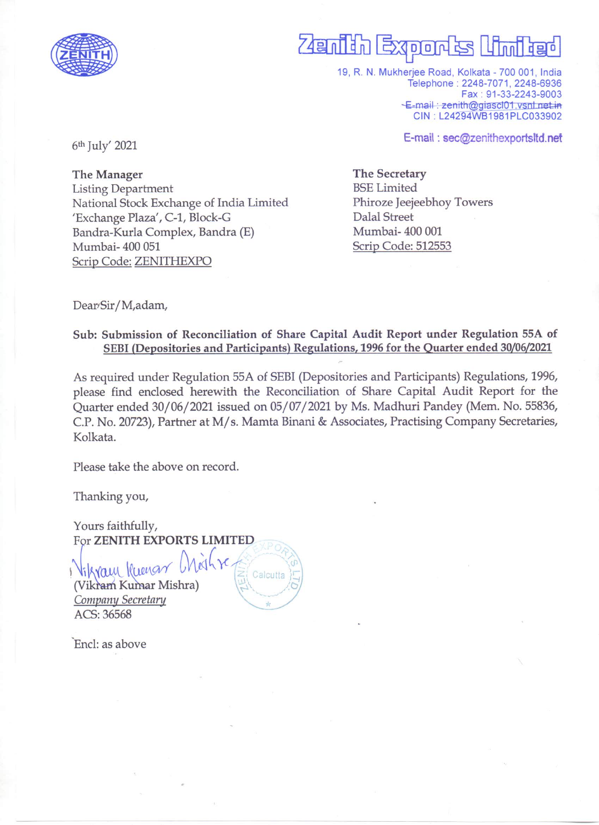

# Zenian Export

19, R. N. Mukherjee Road, Kolkata - 700 001, India Telephone: 2248-7071, 2248-6936 Fax: 91-33-2243-9003 E-mail: zenith@giascl01.vsnl.net.in CIN: L24294WB1981PLC033902

E-mail: sec@zenithexportsltd.net

6<sup>th</sup> July' 2021

The Manager **Listing Department** National Stock Exchange of India Limited 'Exchange Plaza', C-1, Block-G Bandra-Kurla Complex, Bandra (E) Mumbai-400 051 Scrip Code: ZENITHEXPO

The Secretary **BSE** Limited Phiroze Jeejeebhoy Towers **Dalal Street** Mumbai-400 001 Scrip Code: 512553

Dear/Sir/M,adam,

### Sub: Submission of Reconciliation of Share Capital Audit Report under Regulation 55A of SEBI (Depositories and Participants) Regulations, 1996 for the Quarter ended 30/06/2021

As required under Regulation 55A of SEBI (Depositories and Participants) Regulations, 1996, please find enclosed herewith the Reconciliation of Share Capital Audit Report for the Quarter ended 30/06/2021 issued on 05/07/2021 by Ms. Madhuri Pandey (Mem. No. 55836, C.P. No. 20723), Partner at M/s. Mamta Binani & Associates, Practising Company Secretaries, Kolkata.

Calcutta

Please take the above on record.

Thanking you,

Yours faithfully, For ZENITH EXPORTS LIMITED

Vikram Kregan (Vikram Kumar Mishra) Company Secretary ACS: 36568

Encl: as above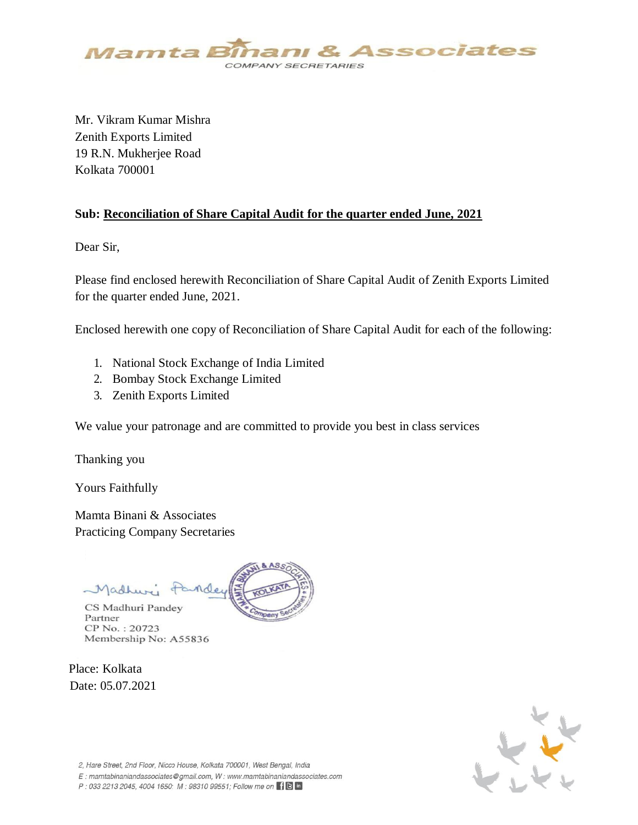

Mr. Vikram Kumar Mishra Zenith Exports Limited 19 R.N. Mukherjee Road Kolkata 700001

#### **Sub: Reconciliation of Share Capital Audit for the quarter ended June, 2021**

Dear Sir,

Please find enclosed herewith Reconciliation of Share Capital Audit of Zenith Exports Limited for the quarter ended June, 2021.

Enclosed herewith one copy of Reconciliation of Share Capital Audit for each of the following:

- 1. National Stock Exchange of India Limited
- 2. Bombay Stock Exchange Limited
- 3. Zenith Exports Limited

We value your patronage and are committed to provide you best in class services

Thanking you

Yours Faithfully

Mamta Binani & Associates Practicing Company Secretaries

Madhuri CS Madhuri Pandey Partner

CP No.: 20723 Membership No: A55836

Place: Kolkata Date: 05.07.2021



2, Hare Street, 2nd Floor, Nicco House, Kolkata 700001, West Bengal, India

E: mamtabinaniandassociates@gmail.com. W: www.mamtabinaniandassociates.com

P: 033 2213 2045, 4004 1650; M: 98310 99551; Follow me on  $\left[\right]$  in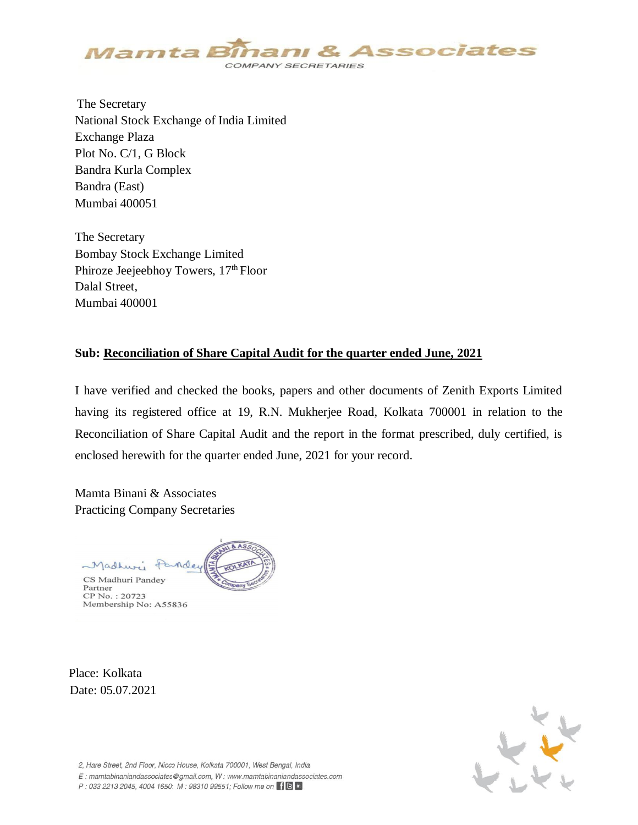

 The Secretary National Stock Exchange of India Limited Exchange Plaza Plot No. C/1, G Block Bandra Kurla Complex Bandra (East) Mumbai 400051

The Secretary Bombay Stock Exchange Limited Phiroze Jeejeebhoy Towers,  $17<sup>th</sup>$  Floor Dalal Street, Mumbai 400001

#### **Sub: Reconciliation of Share Capital Audit for the quarter ended June, 2021**

I have verified and checked the books, papers and other documents of Zenith Exports Limited having its registered office at 19, R.N. Mukherjee Road, Kolkata 700001 in relation to the Reconciliation of Share Capital Audit and the report in the format prescribed, duly certified, is enclosed herewith for the quarter ended June, 2021 for your record.

Mamta Binani & Associates Practicing Company Secretaries



Partner CP No.: 20723 Membership No: A55836

Place: Kolkata Date: 05.07.2021



2, Hare Street, 2nd Floor, Nicco House, Kolkata 700001, West Bengal, India

E: mamtabinaniandassociates@gmail.com. W: www.mamtabinaniandassociates.com

P: 033 2213 2045, 4004 1650; M: 98310 99551; Follow me on F B in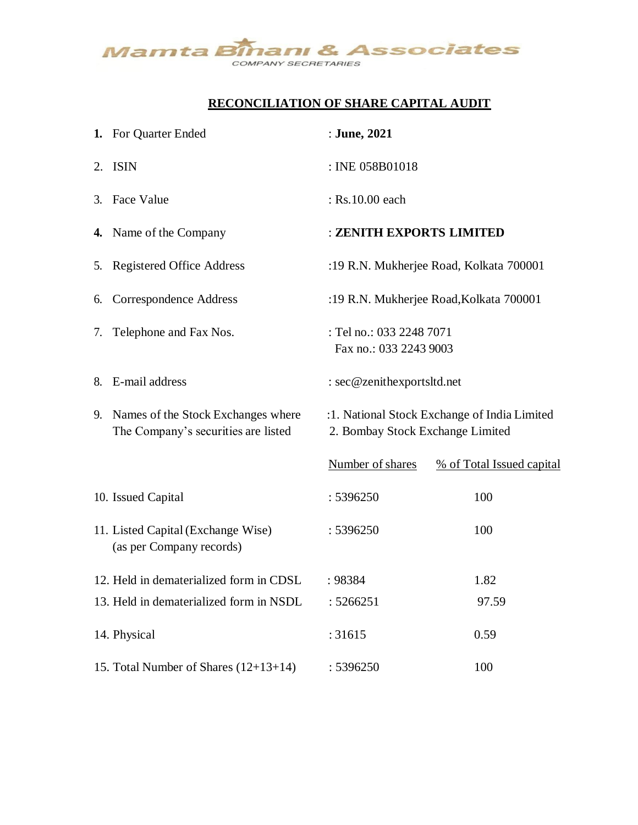

## **RECONCILIATION OF SHARE CAPITAL AUDIT**

|    | 1. For Quarter Ended                                                         | : June, 2021                                                                     |                           |  |  |
|----|------------------------------------------------------------------------------|----------------------------------------------------------------------------------|---------------------------|--|--|
|    | 2. ISIN                                                                      | : INE 058B01018                                                                  |                           |  |  |
|    | 3. Face Value                                                                | : Rs.10.00 each                                                                  |                           |  |  |
|    | 4. Name of the Company                                                       | : ZENITH EXPORTS LIMITED                                                         |                           |  |  |
|    | 5. Registered Office Address                                                 | :19 R.N. Mukherjee Road, Kolkata 700001                                          |                           |  |  |
| 6. | Correspondence Address                                                       | :19 R.N. Mukherjee Road, Kolkata 700001                                          |                           |  |  |
| 7. | Telephone and Fax Nos.                                                       | : Tel no.: 033 2248 7071<br>Fax no.: 033 2243 9003                               |                           |  |  |
|    | 8. E-mail address                                                            | : sec@zenithexportsltd.net                                                       |                           |  |  |
|    | 9. Names of the Stock Exchanges where<br>The Company's securities are listed | :1. National Stock Exchange of India Limited<br>2. Bombay Stock Exchange Limited |                           |  |  |
|    |                                                                              | Number of shares                                                                 | % of Total Issued capital |  |  |
|    | 10. Issued Capital                                                           | : 5396250                                                                        | 100                       |  |  |
|    | 11. Listed Capital (Exchange Wise)<br>(as per Company records)               | : 5396250                                                                        | 100                       |  |  |
|    | 12. Held in dematerialized form in CDSL                                      | : 98384                                                                          | 1.82                      |  |  |
|    | 13. Held in dematerialized form in NSDL                                      | : 5266251                                                                        | 97.59                     |  |  |
|    | 14. Physical                                                                 | : 31615                                                                          | 0.59                      |  |  |
|    | 15. Total Number of Shares (12+13+14)                                        | : 5396250                                                                        | 100                       |  |  |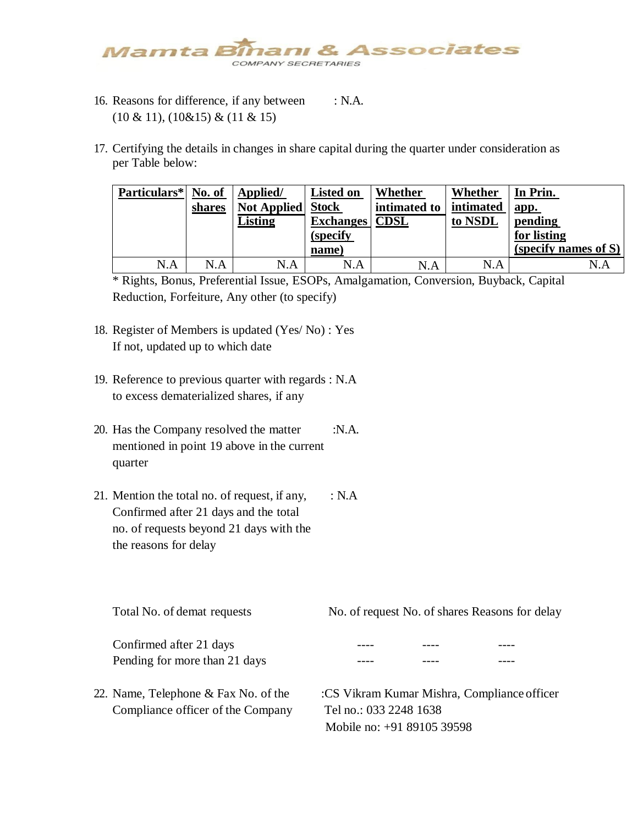

- 16. Reasons for difference, if any between : N.A. (10 & 11), (10&15) & (11 & 15)
- 17. Certifying the details in changes in share capital during the quarter under consideration as per Table below:

| Particulars* No. of | shares | Applied/<br><b>Not Applied</b> Stock<br>Listing | <b>Listed on</b><br><b>Exchanges</b><br>(specify<br>name) | Whether<br>intimated to<br><b>CDSL</b> | Whether<br>intimated<br>to NSDL | In Prin.<br>app.<br>pending<br>for listing<br>(specify names of S) |
|---------------------|--------|-------------------------------------------------|-----------------------------------------------------------|----------------------------------------|---------------------------------|--------------------------------------------------------------------|
| N.A                 | N.A    | N.A                                             | N.A                                                       | N.A                                    | N.A                             | N.A                                                                |

\* Rights, Bonus, Preferential Issue, ESOPs, Amalgamation, Conversion, Buyback, Capital Reduction, Forfeiture, Any other (to specify)

- 18. Register of Members is updated (Yes/ No) : Yes If not, updated up to which date
- 19. Reference to previous quarter with regards : N.A to excess dematerialized shares, if any
- 20. Has the Company resolved the matter :N.A. mentioned in point 19 above in the current quarter
- 21. Mention the total no. of request, if any,  $\therefore$  N.A Confirmed after 21 days and the total no. of requests beyond 21 days with the the reasons for delay

| Total No. of demat requests                              | No. of request No. of shares Reasons for delay |  |  |  |
|----------------------------------------------------------|------------------------------------------------|--|--|--|
| Confirmed after 21 days<br>Pending for more than 21 days |                                                |  |  |  |
| 22. Name, Telephone & Fax No. of the                     | :CS Vikram Kumar Mishra, Compliance officer    |  |  |  |

Compliance officer of the Company Tel no.: 033 2248 1638 Mobile no: +91 89105 39598